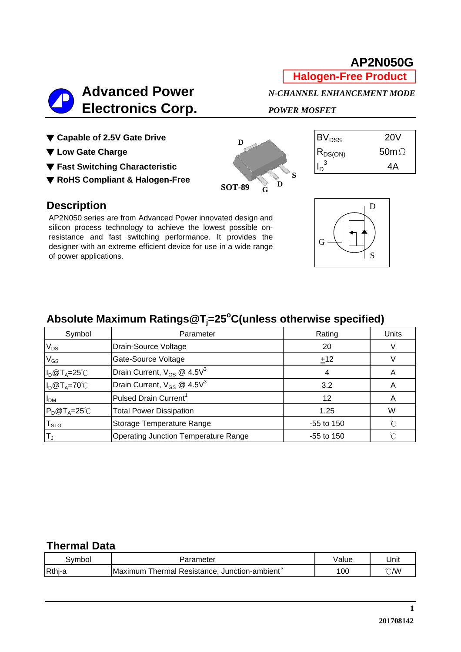

**AP2N050G**

**Halogen-Free Product**

#### ▼ Capable of 2.5V Gate Drive BVDSS 20VB

- ▼ Low Gate Charge RDS(ON) 50m<del>Q</del>
- **The Fast Switching Characteristic IDE ATTENTION IN THE REAL PROPERTY OF A REAL PROPERTY OF A REAL PROPERTY OF A REAL PROPERTY OF A REAL PROPERTY OF A REAL PROPERTY OF A REAL PROPERTY OF A REAL PROPERTY OF A REAL PROPERTY**
- ▼ **RoHS Compliant & Halogen-Free**



| <sup>iV</sup> pss | 20V          |
|-------------------|--------------|
| 5S(ON)            | 50m $\Omega$ |
| 3                 | 4А           |

#### **Description**

AP2N050 series are from Advanced Power innovated design and silicon process technology to achieve the lowest possible onresistance and fast switching performance. It provides the designer with an extreme efficient device for use in a wide range of power applications.



# Absolute Maximum Ratings@T<sub>j</sub>=25°C(unless otherwise specified)

| Symbol                    | Parameter                                   | Rating       | Units |
|---------------------------|---------------------------------------------|--------------|-------|
| $V_{DS}$                  | Drain-Source Voltage                        | 20           |       |
| $V_{GS}$                  | Gate-Source Voltage                         | ±12          |       |
| $I_D@T_A=25^{\circ}C$     | Drain Current, $V_{GS}$ @ 4.5 $V^3$         |              |       |
| $I_D@T_A=70°C$            | Drain Current, $V_{GS}$ @ 4.5 $V^3$         | 3.2          |       |
| I <sub>DM</sub>           | Pulsed Drain Current <sup>1</sup>           | 12           |       |
| $P_D@T_A=25^{\circ}C$     | <b>Total Power Dissipation</b>              | 1.25         | W     |
| $\mathsf{T}_{\text{STG}}$ | Storage Temperature Range                   | $-55$ to 150 | n°    |
| ΙT <sub>υ</sub>           | <b>Operating Junction Temperature Range</b> | $-55$ to 150 | °∩    |

#### **Thermal Data**

| ۔vmbol | . arameter                                                        | 'alue | Unit           |
|--------|-------------------------------------------------------------------|-------|----------------|
| Rthj-a | Thermal Resistance.<br>Junction-ambient <sup>ol</sup><br>IMaxımum | 100   | $^{\circ}$ C/W |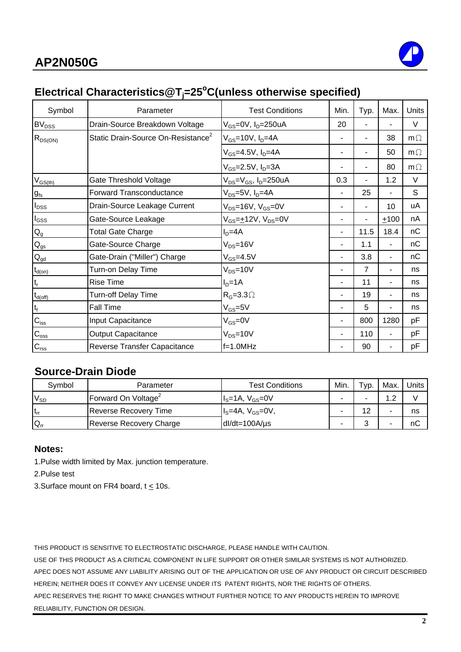

## **Electrical Characteristics@Tj =25o C(unless otherwise specified)**

| Symbol                    | Parameter                                      | <b>Test Conditions</b>                    | Min. | Typ.           | Max. | Units     |
|---------------------------|------------------------------------------------|-------------------------------------------|------|----------------|------|-----------|
| BV <sub>DSS</sub>         | Drain-Source Breakdown Voltage                 | $V_{GS}$ =0V, I <sub>D</sub> =250uA       | 20   |                |      | $\vee$    |
| $R_{DS(ON)}$              | Static Drain-Source On-Resistance <sup>2</sup> | $V_{GS}$ =10V, $I_D$ =4A                  |      |                | 38   | $m\Omega$ |
|                           |                                                | $V_{GS} = 4.5V, I_D = 4A$                 |      |                | 50   | $m\Omega$ |
|                           |                                                | $V_{GS} = 2.5V, I_D = 3A$                 |      |                | 80   | $m\Omega$ |
| $V_{GS(th)}$              | Gate Threshold Voltage                         | $V_{DS} = V_{GS}$ , I <sub>D</sub> =250uA | 0.3  |                | 1.2  | V         |
| $g_{\rm fs}$              | Forward Transconductance                       | $V_{DS}$ =5V, $I_D$ =4A                   | ٠    | 25             |      | S         |
| $I_{DSS}$                 | Drain-Source Leakage Current                   | $V_{DS}$ =16V, $V_{GS}$ =0V               |      |                | 10   | uA        |
| $I_{GSS}$                 | Gate-Source Leakage                            | $V_{GS} = +12V$ , $V_{DS} = 0V$           | ۰    | $\blacksquare$ | ±100 | nA        |
| $\mathsf{Q}_{\mathsf{g}}$ | <b>Total Gate Charge</b>                       | $ID=4A$                                   | -    | 11.5           | 18.4 | nC        |
| $Q_{gs}$                  | Gate-Source Charge                             | $V_{DS} = 16V$                            | ۰    | 1.1            |      | nC        |
| $\mathbf{Q}_{\text{gd}}$  | Gate-Drain ("Miller") Charge                   | $V_{GS} = 4.5V$                           | ۰    | 3.8            | ۰    | nC        |
| $t_{d(on)}$               | Turn-on Delay Time                             | $V_{DS} = 10V$                            | ۰    | $\overline{7}$ |      | ns        |
| $t_r$                     | <b>Rise Time</b>                               | $ID=1A$                                   | ۰    | 11             |      | ns        |
| $t_{d(\text{off})}$       | Turn-off Delay Time                            | $R_G=3.3\Omega$                           |      | 19             |      | ns        |
| $t_f$                     | <b>Fall Time</b>                               | $V_{GS} = 5V$                             |      | 5              |      | ns        |
| $C_{iss}$                 | Input Capacitance                              | $V_{GS} = 0V$                             | ۰    | 800            | 1280 | pF        |
| $C_{\rm oss}$             | <b>Output Capacitance</b>                      | $V_{DS} = 10V$                            | ۰    | 110            | ÷    | pF        |
| $C_{\text{rss}}$          | Reverse Transfer Capacitance                   | $f=1.0MHz$                                | ۰    | 90             |      | рF        |

#### **Source-Drain Diode**

| Symbol          | Parameter                  | <b>Test Conditions</b> | Min. | $\mathsf{Yp}$ . | Max. | Units |
|-----------------|----------------------------|------------------------|------|-----------------|------|-------|
| $V_{SD}$        | <b>IForward On Voltage</b> | $IS=1A, VGS=0V$        |      |                 | ົ    |       |
| t <sub>rr</sub> | Reverse Recovery Time      | $IS=4A, VGS=0V,$       | -    | 12              |      | ns    |
| $Q_{rr}$        | Reverse Recovery Charge    | $dl/dt = 100A/\mu s$   |      |                 |      | пC    |

#### **Notes:**

1.Pulse width limited by Max. junction temperature.

2.Pulse test

3. Surface mount on FR4 board,  $t \le 10$ s.

THIS PRODUCT IS SENSITIVE TO ELECTROSTATIC DISCHARGE, PLEASE HANDLE WITH CAUTION.

USE OF THIS PRODUCT AS A CRITICAL COMPONENT IN LIFE SUPPORT OR OTHER SIMILAR SYSTEMS IS NOT AUTHORIZED. APEC DOES NOT ASSUME ANY LIABILITY ARISING OUT OF THE APPLICATION OR USE OF ANY PRODUCT OR CIRCUIT DESCRIBED HEREIN; NEITHER DOES IT CONVEY ANY LICENSE UNDER ITS PATENT RIGHTS, NOR THE RIGHTS OF OTHERS. APEC RESERVES THE RIGHT TO MAKE CHANGES WITHOUT FURTHER NOTICE TO ANY PRODUCTS HEREIN TO IMPROVE RELIABILITY, FUNCTION OR DESIGN.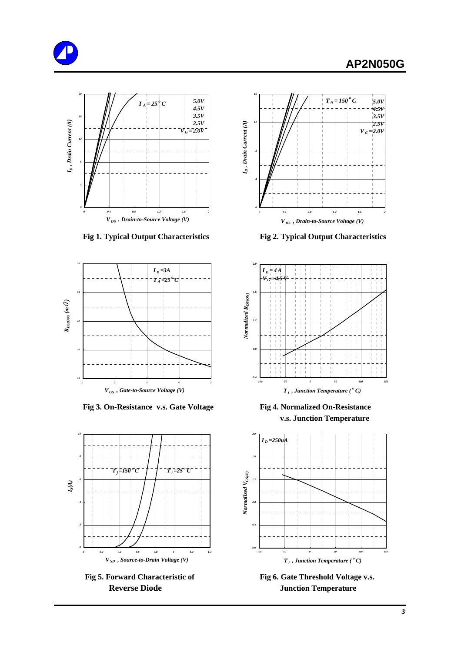



 **Fig 1. Typical Output Characteristics Fig 2. Typical Output Characteristics**



**Fig 3. On-Resistance v.s. Gate Voltage Fig 4. Normalized On-Resistance** 







 **v.s. Junction Temperature**



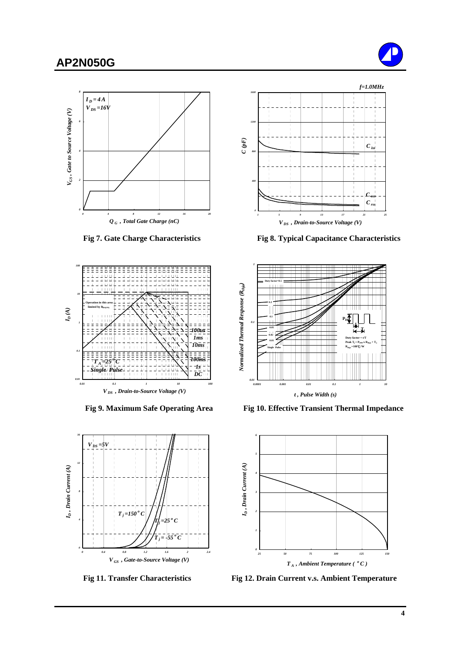#### **AP2N050G**











 **Fig 7. Gate Charge Characteristics Fig 8. Typical Capacitance Characteristics**



Fig 9. Maximum Safe Operating Area Fig 10. Effective Transient Thermal Impedance



 **Fig 11. Transfer Characteristics Fig 12. Drain Current v.s. Ambient Temperature**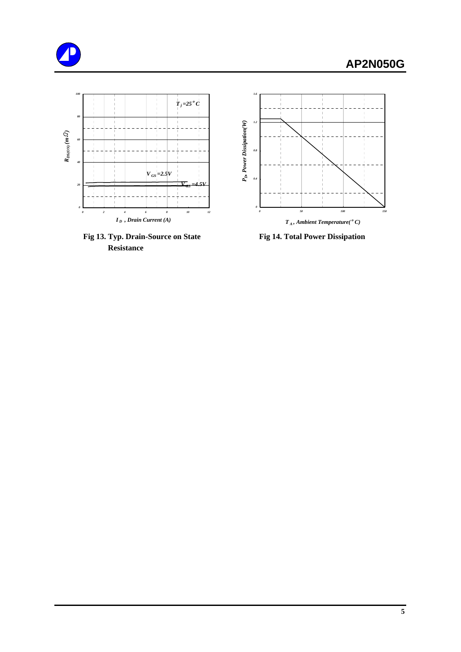





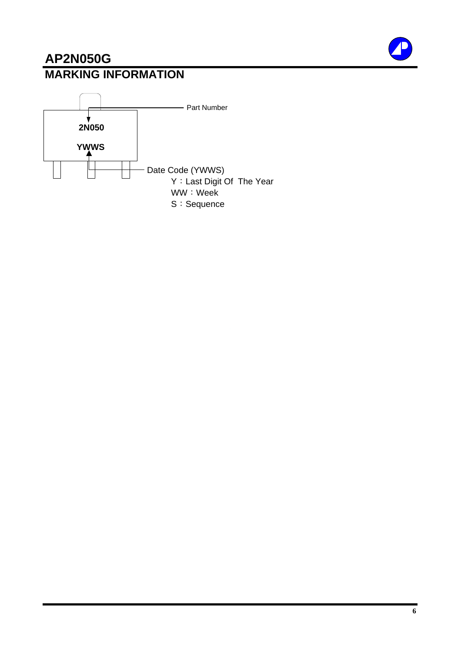# **AP2N050G MARKING INFORMATION**



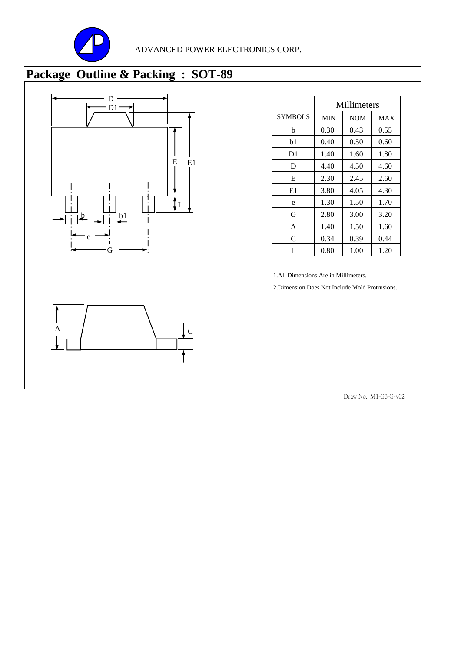

# **Package Outline & Packing : SOT-89**



|                | Millimeters |            |            |
|----------------|-------------|------------|------------|
| <b>SYMBOLS</b> | <b>MIN</b>  | <b>NOM</b> | <b>MAX</b> |
| h              | 0.30        | 0.43       | 0.55       |
| b1             | 0.40        | 0.50       | 0.60       |
| D1             | 1.40        | 1.60       | 1.80       |
| D              | 4.40        | 4.50       | 4.60       |
| E              | 2.30        | 2.45       | 2.60       |
| E1             | 3.80        | 4.05       | 4.30       |
| e              | 1.30        | 1.50       | 1.70       |
| G              | 2.80        | 3.00       | 3.20       |
| A              | 1.40        | 1.50       | 1.60       |
| C              | 0.34        | 0.39       | 0.44       |
| L              | 0.80        | 1.00       | 1.20       |

1.All Dimensions Are in Millimeters.

2.Dimension Does Not Include Mold Protrusions.